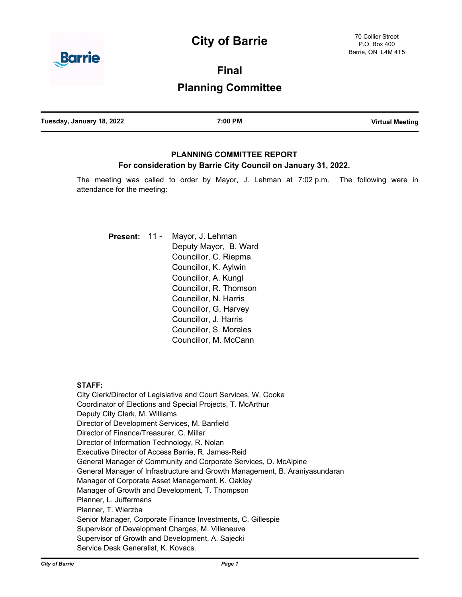# **City of Barrie**



**Final**

## **Planning Committee**

| Tuesday, January 18, 2022 | 7:00 PM | <b>Virtual Meeting</b> |
|---------------------------|---------|------------------------|
|                           |         |                        |

## **PLANNING COMMITTEE REPORT For consideration by Barrie City Council on January 31, 2022.**

The meeting was called to order by Mayor, J. Lehman at 7:02 p.m. The following were in attendance for the meeting:

Mayor, J. Lehman Deputy Mayor, B. Ward Councillor, C. Riepma Councillor, K. Aylwin Councillor, A. Kungl Councillor, R. Thomson Councillor, N. Harris Councillor, G. Harvey Councillor, J. Harris Councillor, S. Morales Councillor, M. McCann **Present:** 11 -

#### **STAFF:**

City Clerk/Director of Legislative and Court Services, W. Cooke Coordinator of Elections and Special Projects, T. McArthur Deputy City Clerk, M. Williams Director of Development Services, M. Banfield Director of Finance/Treasurer, C. Millar Director of Information Technology, R. Nolan Executive Director of Access Barrie, R. James-Reid General Manager of Community and Corporate Services, D. McAlpine General Manager of Infrastructure and Growth Management, B. Araniyasundaran Manager of Corporate Asset Management, K. Oakley Manager of Growth and Development, T. Thompson Planner, L. Juffermans Planner, T. Wierzba Senior Manager, Corporate Finance Investments, C. Gillespie Supervisor of Development Charges, M. Villeneuve Supervisor of Growth and Development, A. Sajecki Service Desk Generalist, K. Kovacs.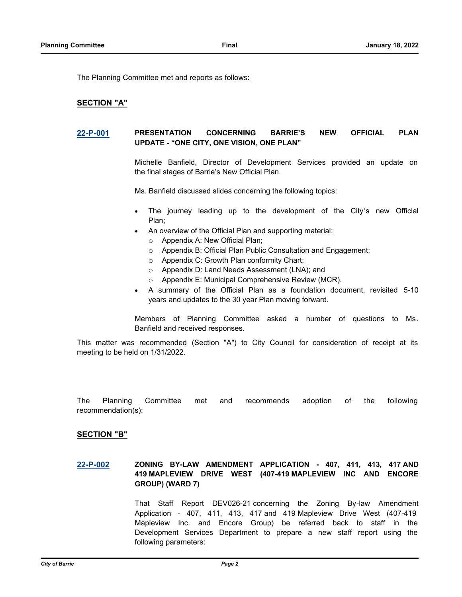The Planning Committee met and reports as follows:

#### **SECTION "A"**

#### **[22-P-001](http://barrie.ca.legistar.com/gateway.aspx?m=l&id=/matter.aspx?key=49977) PRESENTATION CONCERNING BARRIE'S NEW OFFICIAL PLAN UPDATE - "ONE CITY, ONE VISION, ONE PLAN"**

Michelle Banfield, Director of Development Services provided an update on the final stages of Barrie's New Official Plan.

Ms. Banfield discussed slides concerning the following topics:

- The journey leading up to the development of the City's new Official Plan;
- An overview of the Official Plan and supporting material:
	- o Appendix A: New Official Plan;
	- o Appendix B: Official Plan Public Consultation and Engagement;
	- o Appendix C: Growth Plan conformity Chart;
	- o Appendix D: Land Needs Assessment (LNA); and
	- o Appendix E: Municipal Comprehensive Review (MCR).
- · A summary of the Official Plan as a foundation document, revisited 5-10 years and updates to the 30 year Plan moving forward.

Members of Planning Committee asked a number of questions to Ms. Banfield and received responses.

This matter was recommended (Section "A") to City Council for consideration of receipt at its meeting to be held on 1/31/2022.

The Planning Committee met and recommends adoption of the following recommendation(s):

#### **SECTION "B"**

**[22-P-002](http://barrie.ca.legistar.com/gateway.aspx?m=l&id=/matter.aspx?key=49990) ZONING BY-LAW AMENDMENT APPLICATION - 407, 411, 413, 417 AND 419 MAPLEVIEW DRIVE WEST (407-419 MAPLEVIEW INC AND ENCORE GROUP) (WARD 7)**

> That Staff Report DEV026-21 concerning the Zoning By-law Amendment Application - 407, 411, 413, 417 and 419 Mapleview Drive West (407-419 Mapleview Inc. and Encore Group) be referred back to staff in the Development Services Department to prepare a new staff report using the following parameters: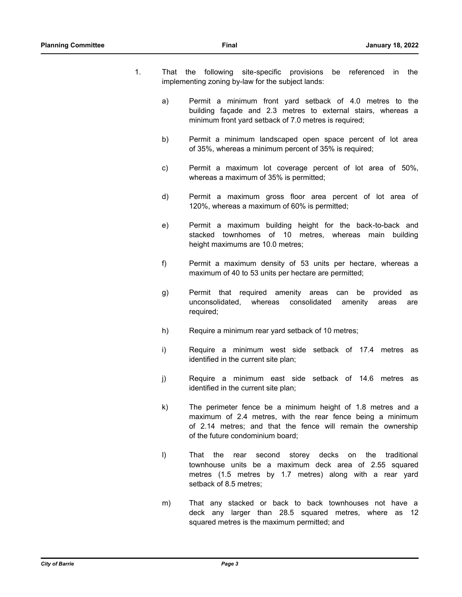- 1. That the following site-specific provisions be referenced in the implementing zoning by-law for the subject lands:
	- a) Permit a minimum front yard setback of 4.0 metres to the building façade and 2.3 metres to external stairs, whereas a minimum front yard setback of 7.0 metres is required;
	- b) Permit a minimum landscaped open space percent of lot area of 35%, whereas a minimum percent of 35% is required;
	- c) Permit a maximum lot coverage percent of lot area of 50%, whereas a maximum of 35% is permitted;
	- d) Permit a maximum gross floor area percent of lot area of 120%, whereas a maximum of 60% is permitted;
	- e) Permit a maximum building height for the back-to-back and stacked townhomes of 10 metres, whereas main building height maximums are 10.0 metres;
	- f) Permit a maximum density of 53 units per hectare, whereas a maximum of 40 to 53 units per hectare are permitted;
	- g) Permit that required amenity areas can be provided as unconsolidated, whereas consolidated amenity areas are required;
	- h) Require a minimum rear yard setback of 10 metres;
	- i) Require a minimum west side setback of 17.4 metres as identified in the current site plan;
	- j) Require a minimum east side setback of 14.6 metres as identified in the current site plan;
	- k) The perimeter fence be a minimum height of 1.8 metres and a maximum of 2.4 metres, with the rear fence being a minimum of 2.14 metres; and that the fence will remain the ownership of the future condominium board;
	- l) That the rear second storey decks on the traditional townhouse units be a maximum deck area of 2.55 squared metres (1.5 metres by 1.7 metres) along with a rear yard setback of 8.5 metres;
	- m) That any stacked or back to back townhouses not have a deck any larger than 28.5 squared metres, where as 12 squared metres is the maximum permitted; and